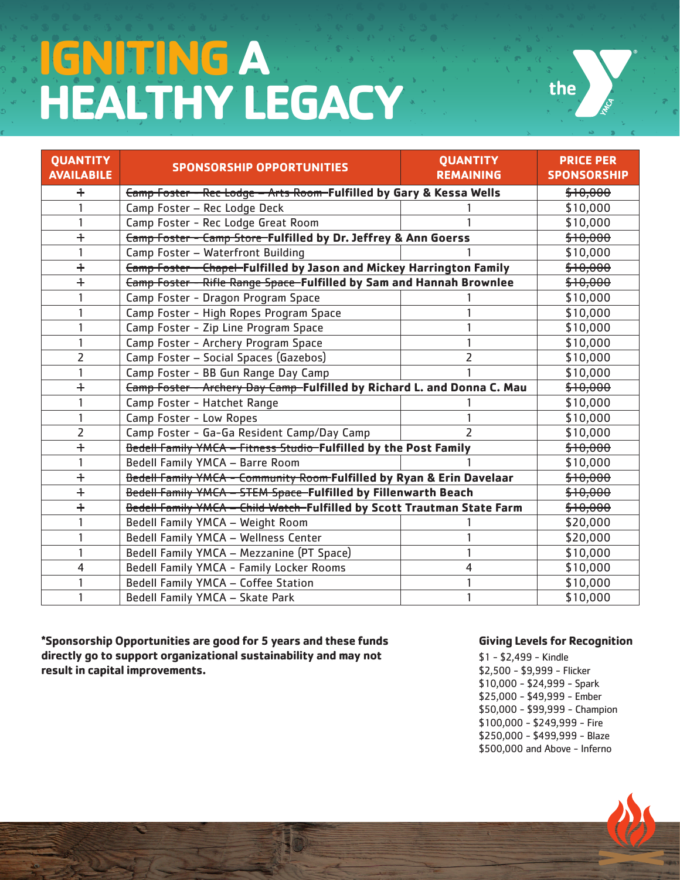## **IGNITING A HEALTHY LEGACY**



| <b>QUANTITY</b><br><b>AVAILABILE</b> | <b>SPONSORSHIP OPPORTUNITIES</b>                                               | <b>QUANTITY</b><br><b>REMAINING</b> | <b>PRICE PER</b><br><b>SPONSORSHIP</b> |
|--------------------------------------|--------------------------------------------------------------------------------|-------------------------------------|----------------------------------------|
| $\ddagger$                           | <b>Eamp Foster - Rec Lodge - Arts Room-Fulfilled by Gary &amp; Kessa Wells</b> |                                     | \$10,000                               |
|                                      | Camp Foster - Rec Lodge Deck                                                   |                                     | \$10,000                               |
|                                      | Camp Foster - Rec Lodge Great Room                                             |                                     | \$10,000                               |
| $\ddag$                              | <b>Eamp Foster - Camp Store-Fulfilled by Dr. Jeffrey &amp; Ann Goerss</b>      |                                     | \$10,000                               |
|                                      | Camp Foster - Waterfront Building                                              |                                     | \$10,000                               |
| $\ddagger$                           | <b>Eamp Foster - Chapel-Fulfilled by Jason and Mickey Harrington Family</b>    |                                     | \$10,000                               |
| $\ddag$                              | <b>Camp Foster - Rifle Range Space-Fulfilled by Sam and Hannah Brownlee</b>    |                                     | \$10,000                               |
|                                      | Camp Foster - Dragon Program Space                                             |                                     | \$10,000                               |
|                                      | Camp Foster - High Ropes Program Space                                         |                                     | \$10,000                               |
|                                      | Camp Foster - Zip Line Program Space                                           |                                     | \$10,000                               |
|                                      | Camp Foster - Archery Program Space                                            |                                     | \$10,000                               |
| 2                                    | Camp Foster - Social Spaces (Gazebos)                                          | 2                                   | \$10,000                               |
|                                      | Camp Foster - BB Gun Range Day Camp                                            |                                     | \$10,000                               |
| $\ddagger$                           | Camp Foster - Archery Day Camp-Fulfilled by Richard L. and Donna C. Mau        |                                     | \$10,000                               |
|                                      | Camp Foster - Hatchet Range                                                    |                                     | \$10,000                               |
|                                      | Camp Foster - Low Ropes                                                        |                                     | \$10,000                               |
| $\overline{2}$                       | Camp Foster - Ga-Ga Resident Camp/Day Camp                                     | $\overline{\phantom{a}}$            | \$10,000                               |
| $\ddagger$                           | Bedell Family YMCA - Fitness Studio-Fulfilled by the Post Family               |                                     | \$10,000                               |
|                                      | Bedell Family YMCA - Barre Room                                                |                                     | \$10,000                               |
| $\ddagger$                           | Bedell Family YMCA - Community Room Fulfilled by Ryan & Erin Davelaar          |                                     | \$10,000                               |
| $\ddagger$                           | Bedell Family YMCA - STEM Space-Fulfilled by Fillenwarth Beach                 |                                     | \$10,000                               |
| $\ddagger$                           | Bedell Family YMCA - Child Watch-Fulfilled by Scott Trautman State Farm        |                                     | \$10,000                               |
|                                      | Bedell Family YMCA - Weight Room                                               |                                     | \$20,000                               |
|                                      | Bedell Family YMCA - Wellness Center                                           |                                     | \$20,000                               |
|                                      | Bedell Family YMCA - Mezzanine (PT Space)                                      |                                     | \$10,000                               |
| 4                                    | Bedell Family YMCA - Family Locker Rooms                                       | 4                                   | \$10,000                               |
|                                      | Bedell Family YMCA - Coffee Station                                            |                                     | \$10,000                               |
|                                      | Bedell Family YMCA - Skate Park                                                |                                     | \$10,000                               |

**\*Sponsorship Opportunities are good for 5 years and these funds directly go to support organizational sustainability and may not result in capital improvements.** 

## **Giving Levels for Recognition**

\$1 - \$2,499 - Kindle \$2,500 - \$9,999 - Flicker \$10,000 - \$24,999 - Spark \$25,000 - \$49,999 - Ember \$50,000 - \$99,999 - Champion \$100,000 - \$249,999 - Fire \$250,000 - \$499,999 - Blaze \$500,000 and Above - Inferno